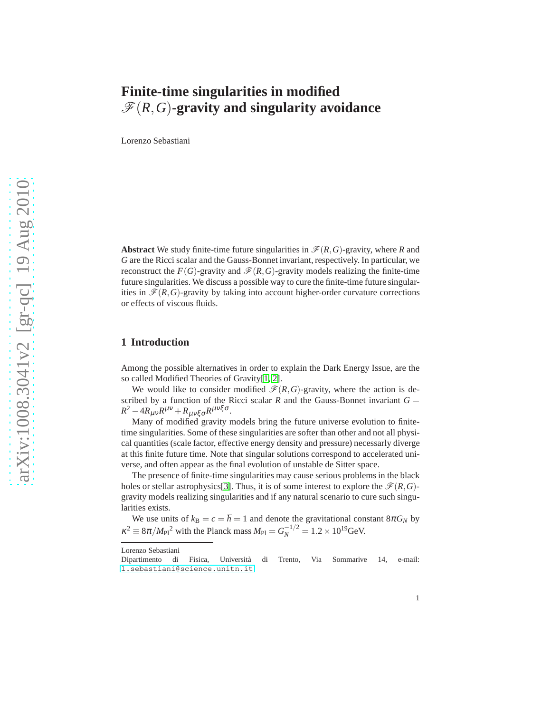# **Finite-time singularities in modified**  $\mathscr{F}(R,G)$ **-gravity and singularity avoidance**

Lorenzo Sebastiani

**Abstract** We study finite-time future singularities in  $\mathcal{F}(R, G)$ -gravity, where *R* and *G* are the Ricci scalar and the Gauss-Bonnet invariant, respectively. In particular, we reconstruct the  $F(G)$ -gravity and  $\mathcal{F}(R, G)$ -gravity models realizing the finite-time future singularities. We discuss a possible way to cure the finite-time future singularities in  $\mathcal{F}(R,G)$ -gravity by taking into account higher-order curvature corrections or effects of viscous fluids.

# **1 Introduction**

Among the possible alternatives in order to explain the Dark Energy Issue, are the so called Modified Theories of Gravity[1, 2].

We would like to consider modified  $\mathcal{F}(R, G)$ -gravity, where the action is described by a function of the Ricci scalar  $R$  and the Gauss-Bonnet invariant  $G =$  $R^2 - 4R_{\mu\nu}R^{\mu\nu} + R_{\mu\nu\xi\sigma}R^{\mu\nu\xi\sigma}.$ 

Many of modified gravity models bring the future universe evolution to finitetime singularities. Some of these singularities are softer than other and not all physical quantities (scale factor, effective energy density and pressure) necessarly diverge at this finite future time. Note that singular solutions correspond to accelerated universe, and often appear as the final evolution of unstable de Sitter space.

The presence of finite-time singularities may cause serious problems in the black holes or stellar astrophysics<sup>[\[3\]](#page-9-0)</sup>. Thus, it is of some interest to explore the  $\mathcal{F}(R, G)$ gravity models realizing singularities and if any natural scenario to cure such singularities exists.

We use units of  $k_B = c = \hbar = 1$  and denote the gravitational constant  $8\pi G_N$  by  $\kappa^2 \equiv 8\pi / M_{\rm Pl}{}^2$  with the Planck mass  $M_{\rm Pl} = G_N^{-1/2} = 1.2 \times 10^{19}$  GeV.

Lorenzo Sebastiani

Dipartimento di Fisica, Universit`a di Trento, Via Sommarive 14, e-mail: <l.sebastiani@science.unitn.it>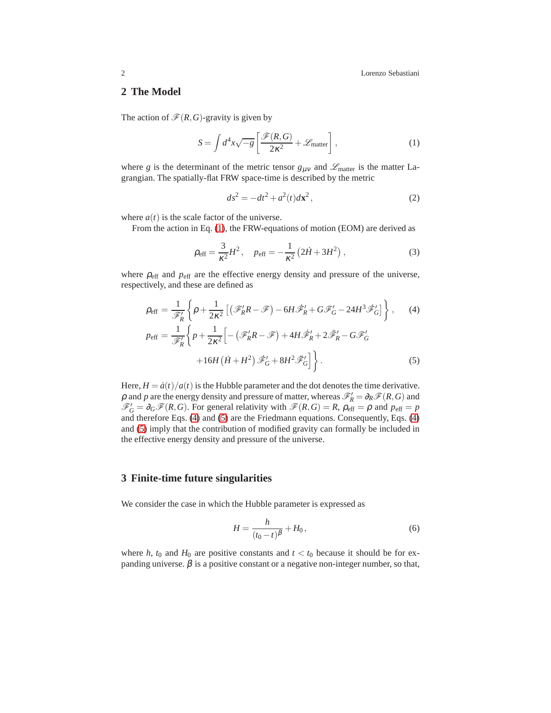# **2 The Model**

The action of  $\mathcal{F}(R,G)$ -gravity is given by

<span id="page-1-0"></span>
$$
S = \int d^4x \sqrt{-g} \left[ \frac{\mathcal{F}(R, G)}{2\kappa^2} + \mathcal{L}_{\text{matter}} \right],
$$
 (1)

where *g* is the determinant of the metric tensor  $g_{\mu\nu}$  and  $\mathscr{L}_{\text{matter}}$  is the matter Lagrangian. The spatially-flat FRW space-time is described by the metric

$$
ds^2 = -dt^2 + a^2(t)dx^2,
$$
 (2)

where  $a(t)$  is the scale factor of the universe.

From the action in Eq. [\(1\)](#page-1-0), the FRW-equations of motion (EOM) are derived as

<span id="page-1-3"></span>
$$
\rho_{\text{eff}} = \frac{3}{\kappa^2} H^2, \quad p_{\text{eff}} = -\frac{1}{\kappa^2} \left( 2\dot{H} + 3H^2 \right), \tag{3}
$$

where  $\rho_{\text{eff}}$  and  $p_{\text{eff}}$  are the effective energy density and pressure of the universe, respectively, and these are defined as

<span id="page-1-1"></span>
$$
\rho_{\text{eff}} = \frac{1}{\mathscr{F}'_R} \left\{ \rho + \frac{1}{2\kappa^2} \left[ \left( \mathscr{F}'_R R - \mathscr{F} \right) - 6H \mathscr{F}'_R + G \mathscr{F}'_G - 24H^3 \mathscr{F}'_G \right] \right\},\qquad(4)
$$

$$
p_{\text{eff}} = \frac{1}{\mathscr{F}'_R} \left\{ p + \frac{1}{2\kappa^2} \left[ -\left(\mathscr{F}'_R R - \mathscr{F}\right) + 4H \dot{\mathscr{F}}'_R + 2\ddot{\mathscr{F}}'_R - G \mathscr{F}'_G \right. \right. \right. \left. + 16H\left(\dot{H} + H^2\right) \dot{\mathscr{F}}'_G + 8H^2 \ddot{\mathscr{F}}'_G \right] \bigg\} . \tag{5}
$$

Here,  $H = \frac{a(t)}{a(t)}$  is the Hubble parameter and the dot denotes the time derivative.  $\rho$  and  $p$  are the energy density and pressure of matter, whereas  $\mathscr{F}'_R = \partial_R \mathscr{F}(R, G)$  and  $\mathscr{F}'_G = \partial_G \mathscr{F}(R, G)$ . For general relativity with  $\mathscr{F}(R, G) = R$ ,  $\rho_{\text{eff}} = \rho$  and  $p_{\text{eff}} = p$ and therefore Eqs. [\(4\)](#page-1-1) and [\(5\)](#page-1-1) are the Friedmann equations. Consequently, Eqs. [\(4\)](#page-1-1) and [\(5\)](#page-1-1) imply that the contribution of modified gravity can formally be included in the effective energy density and pressure of the universe.

#### **3 Finite-time future singularities**

We consider the case in which the Hubble parameter is expressed as

<span id="page-1-2"></span>
$$
H = \frac{h}{(t_0 - t)^{\beta}} + H_0,
$$
\n(6)

where *h*,  $t_0$  and  $H_0$  are positive constants and  $t < t_0$  because it should be for expanding universe.  $\beta$  is a positive constant or a negative non-integer number, so that,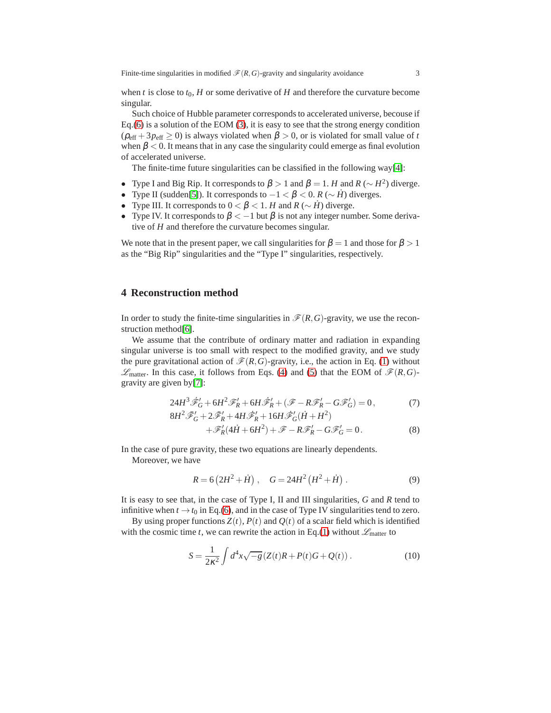when *t* is close to  $t_0$ , *H* or some derivative of *H* and therefore the curvature become singular.

Such choice of Hubble parameter corresponds to accelerated universe, becouse if Eq.[\(6\)](#page-1-2) is a solution of the EOM [\(3\)](#page-1-3), it is easy to see that the strong energy condition  $(\rho_{\text{eff}} + 3p_{\text{eff}} \ge 0)$  is always violated when  $\beta > 0$ , or is violated for small value of *t* when  $\beta$  < 0. It means that in any case the singularity could emerge as final evolution of accelerated universe.

The finite-time future singularities can be classified in the following way[\[4\]](#page-9-1):

- Type I and Big Rip. It corresponds to  $β$  > 1 and  $β$  = 1. *H* and *R* (∼ *H*<sup>2</sup>) diverge.
- Type II (sudden[\[5\]](#page-9-2)). It corresponds to  $-1 < \beta < 0$ . *R* ( $\sim \dot{H}$ ) diverges.
- Type III. It corresponds to  $0 < \beta < 1$ . *H* and *R* (∼ *H*<sup></sup>) diverge.
- Type IV. It corresponds to  $\beta < -1$  but  $\beta$  is not any integer number. Some derivative of *H* and therefore the curvature becomes singular.

We note that in the present paper, we call singularities for  $\beta = 1$  and those for  $\beta > 1$ as the "Big Rip" singularities and the "Type I" singularities, respectively.

# **4 Reconstruction method**

In order to study the finite-time singularities in  $\mathcal{F}(R, G)$ -gravity, we use the reconstruction method[\[6\]](#page-9-3).

We assume that the contribute of ordinary matter and radiation in expanding singular universe is too small with respect to the modified gravity, and we study the pure gravitational action of  $\mathcal{F}(R, G)$ -gravity, i.e., the action in Eq. [\(1\)](#page-1-0) without  $\mathscr{L}_{\text{matter}}$ . In this case, it follows from Eqs. [\(4\)](#page-1-1) and [\(5\)](#page-1-1) that the EOM of  $\mathscr{F}(R,G)$ gravity are given by[\[7\]](#page-9-4):

<span id="page-2-1"></span>
$$
24H^3\tilde{\mathscr{F}}'_G + 6H^2\mathscr{F}'_R + 6H\tilde{\mathscr{F}}'_R + (\mathscr{F} - R\mathscr{F}'_R - G\mathscr{F}'_G) = 0, \tag{7}
$$

$$
8H^2 \mathscr{F}'_G + 2\mathscr{F}'_R + 4H \mathscr{F}'_R + 16H \mathscr{F}'_G (\dot{H} + H^2)
$$
  
 
$$
+ \mathscr{F}'_R (4\dot{H} + 6H^2) + \mathscr{F} - R\mathscr{F}'_R - G\mathscr{F}'_G = 0.
$$
 (8)

In the case of pure gravity, these two equations are linearly dependents. Moreover, we have

$$
R = 6(2H^2 + \dot{H}), \quad G = 24H^2(H^2 + \dot{H}). \tag{9}
$$

It is easy to see that, in the case of Type I, II and III singularities, *G* and *R* tend to infinitive when  $t \to t_0$  in Eq.[\(6\)](#page-1-2), and in the case of Type IV singularities tend to zero.

By using proper functions  $Z(t)$ ,  $P(t)$  and  $Q(t)$  of a scalar field which is identified with the cosmic time *t*, we can rewrite the action in Eq.[\(1\)](#page-1-0) without  $\mathscr{L}_{\text{matter}}$  to

<span id="page-2-0"></span>
$$
S = \frac{1}{2\kappa^2} \int d^4x \sqrt{-g} \left( Z(t)R + P(t)G + Q(t) \right). \tag{10}
$$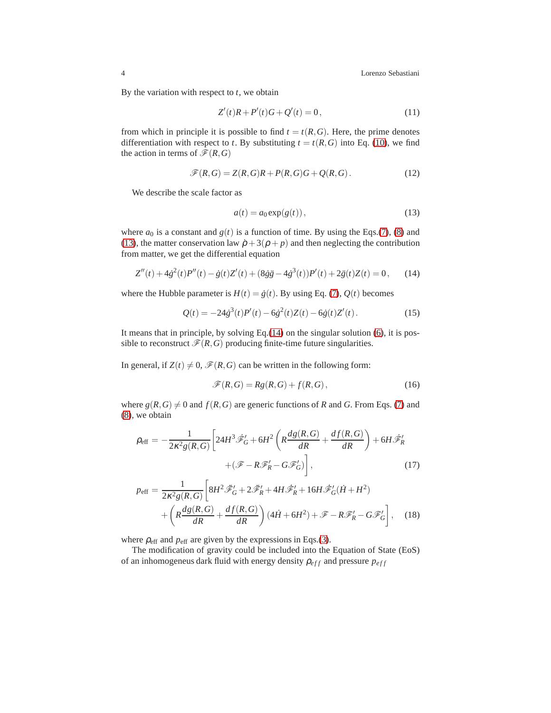4 Lorenzo Sebastiani

By the variation with respect to *t*, we obtain

$$
Z'(t)R + P'(t)G + Q'(t) = 0,
$$
\n(11)

from which in principle it is possible to find  $t = t(R, G)$ . Here, the prime denotes differentiation with respect to *t*. By substituting  $t = t(R, G)$  into Eq. [\(10\)](#page-2-0), we find the action in terms of  $\mathcal{F}(R,G)$ 

$$
\mathscr{F}(R,G) = Z(R,G)R + P(R,G)G + Q(R,G).
$$
\n(12)

We describe the scale factor as

<span id="page-3-0"></span>
$$
a(t) = a_0 \exp(g(t)),\tag{13}
$$

where  $a_0$  is a constant and  $g(t)$  is a function of time. By using the Eqs.[\(7\)](#page-2-1), [\(8\)](#page-2-1) and [\(13\)](#page-3-0), the matter conservation law  $\dot{\rho} + 3(\rho + p)$  and then neglecting the contribution from matter, we get the differential equation

<span id="page-3-1"></span>
$$
Z''(t) + 4\dot{g}^{2}(t)P''(t) - \dot{g}(t)Z'(t) + (8\dot{g}\ddot{g} - 4\dot{g}^{3}(t))P'(t) + 2\ddot{g}(t)Z(t) = 0, \qquad (14)
$$

where the Hubble parameter is  $H(t) = \dot{g}(t)$ . By using Eq. [\(7\)](#page-2-1),  $Q(t)$  becomes

<span id="page-3-2"></span>
$$
Q(t) = -24\dot{\beta}^{3}(t)P'(t) - 6\dot{\beta}^{2}(t)Z(t) - 6\dot{\beta}(t)Z'(t).
$$
 (15)

It means that in principle, by solving Eq.[\(14\)](#page-3-1) on the singular solution [\(6\)](#page-1-2), it is possible to reconstruct  $\mathcal{F}(R, G)$  producing finite-time future singularities.

In general, if  $Z(t) \neq 0$ ,  $\mathcal{F}(R, G)$  can be written in the following form:

$$
\mathscr{F}(R,G) = Rg(R,G) + f(R,G),\tag{16}
$$

where  $g(R, G) \neq 0$  and  $f(R, G)$  are generic functions of *R* and *G*. From Eqs. [\(7\)](#page-2-1) and [\(8\)](#page-2-1), we obtain

<span id="page-3-3"></span>
$$
\rho_{\text{eff}} = -\frac{1}{2\kappa^2 g(R, G)} \left[ 24H^3 \mathcal{F}'_G + 6H^2 \left( R \frac{dg(R, G)}{dR} + \frac{df(R, G)}{dR} \right) + 6H \mathcal{F}'_R \right. \\
\left. + (\mathcal{F} - R \mathcal{F}'_R - G \mathcal{F}'_G) \right],\tag{17}
$$

$$
p_{\text{eff}} = \frac{1}{2\kappa^2 g(R, G)} \left[ 8H^2 \ddot{\mathscr{F}}_G' + 2\ddot{\mathscr{F}}_R' + 4H \dot{\mathscr{F}}_R' + 16H \dot{\mathscr{F}}_G'(\dot{H} + H^2) + \left( R \frac{dg(R, G)}{dR} + \frac{df(R, G)}{dR} \right) (4\dot{H} + 6H^2) + \mathscr{F} - R\mathscr{F}_R' - G\mathscr{F}_G' \right], \quad (18)
$$

where  $\rho_{\text{eff}}$  and  $p_{\text{eff}}$  are given by the expressions in Eqs.[\(3\)](#page-1-3).

The modification of gravity could be included into the Equation of State (EoS) of an inhomogeneus dark fluid with energy density  $\rho_{eff}$  and pressure  $p_{eff}$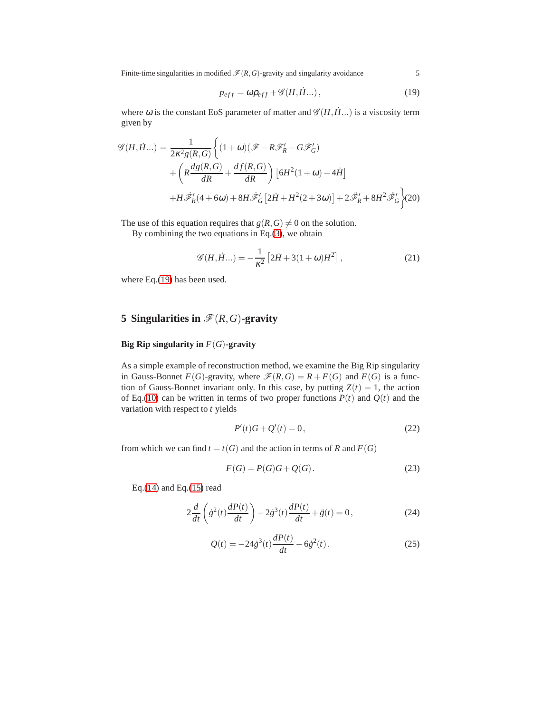Finite-time singularities in modified  $\mathcal{F}(R, G)$ -gravity and singularity avoidance 5

<span id="page-4-0"></span>
$$
p_{eff} = \omega \rho_{eff} + \mathcal{G}(H, \dot{H}...), \qquad (19)
$$

where  $\omega$  is the constant EoS parameter of matter and  $\mathscr{G}(H, \dot{H})$  is a viscosity term given by

$$
\mathcal{G}(H, \dot{H}...) = \frac{1}{2\kappa^2 g(R, G)} \left\{ (1 + \omega)(\mathcal{F} - R\mathcal{F}'_R - G\mathcal{F}'_G) + \left( R\frac{dg(R, G)}{dR} + \frac{df(R, G)}{dR} \right) \left[ 6H^2(1 + \omega) + 4\dot{H} \right] + H\dot{\mathcal{F}}'_R(4 + 6\omega) + 8H\dot{\mathcal{F}}'_G \left[ 2\dot{H} + H^2(2 + 3\omega) \right] + 2\ddot{\mathcal{F}}'_R + 8H^2\ddot{\mathcal{F}}'_G \right\} (20)
$$

The use of this equation requires that  $g(R, G) \neq 0$  on the solution.

By combining the two equations in Eq.[\(3\)](#page-1-3), we obtain

<span id="page-4-5"></span>
$$
\mathscr{G}(H, \dot{H}) = -\frac{1}{\kappa^2} \left[ 2\dot{H} + 3(1+\omega)H^2 \right],
$$
 (21)

where Eq.[\(19\)](#page-4-0) has been used.

# **5 Singularities in**  $\mathscr{F}(R, G)$ **-gravity**

#### **Big Rip singularity in** *F*(*G*)**-gravity**

As a simple example of reconstruction method, we examine the Big Rip singularity in Gauss-Bonnet *F*(*G*)-gravity, where  $\mathcal{F}(R, G) = R + F(G)$  and *F*(*G*) is a function of Gauss-Bonnet invariant only. In this case, by putting  $Z(t) = 1$ , the action of Eq.[\(10\)](#page-2-0) can be written in terms of two proper functions  $P(t)$  and  $Q(t)$  and the variation with respect to *t* yields

<span id="page-4-3"></span>
$$
P'(t)G + Q'(t) = 0,
$$
\n(22)

from which we can find  $t = t(G)$  and the action in terms of *R* and  $F(G)$ 

<span id="page-4-4"></span>
$$
F(G) = P(G)G + Q(G).
$$
\n(23)

Eq.[\(14\)](#page-3-1) and Eq.[\(15\)](#page-3-2) read

<span id="page-4-1"></span>
$$
2\frac{d}{dt}\left(\dot{g}^{2}(t)\frac{dP(t)}{dt}\right) - 2\dot{g}^{3}(t)\frac{dP(t)}{dt} + \ddot{g}(t) = 0, \qquad (24)
$$

<span id="page-4-2"></span>
$$
Q(t) = -24\dot{\sigma}^{3}(t)\frac{dP(t)}{dt} - 6\dot{\sigma}^{2}(t).
$$
 (25)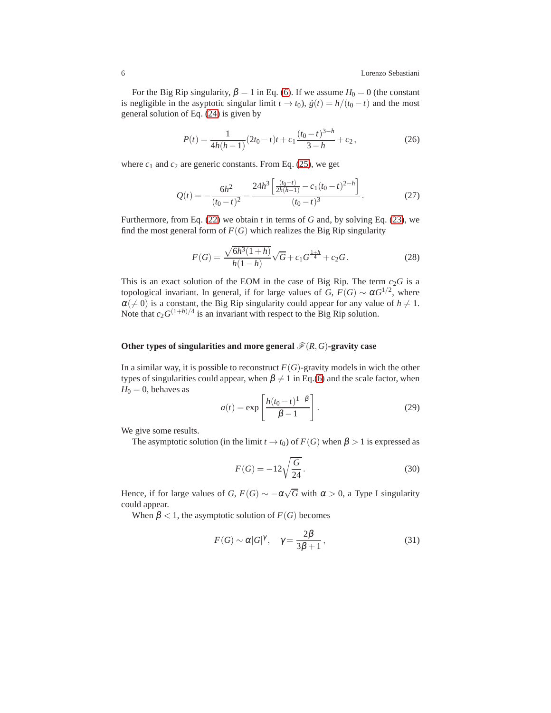For the Big Rip singularity,  $\beta = 1$  in Eq. [\(6\)](#page-1-2). If we assume  $H_0 = 0$  (the constant is negligible in the asyptotic singular limit  $t \to t_0$ ,  $\dot{g}(t) = h/(t_0 - t)$  and the most general solution of Eq. [\(24\)](#page-4-1) is given by

$$
P(t) = \frac{1}{4h(h-1)}(2t_0 - t)t + c_1 \frac{(t_0 - t)^{3-h}}{3-h} + c_2,
$$
\n(26)

where  $c_1$  and  $c_2$  are generic constants. From Eq. [\(25\)](#page-4-2), we get

$$
Q(t) = -\frac{6h^2}{(t_0 - t)^2} - \frac{24h^3 \left[ \frac{(t_0 - t)}{2h(h - 1)} - c_1(t_0 - t)^{2 - h} \right]}{(t_0 - t)^3}.
$$
 (27)

Furthermore, from Eq. [\(22\)](#page-4-3) we obtain *t* in terms of *G* and, by solving Eq. [\(23\)](#page-4-4), we find the most general form of  $F(G)$  which realizes the Big Rip singularity

$$
F(G) = \frac{\sqrt{6h^3(1+h)}}{h(1-h)}\sqrt{G} + c_1G^{\frac{1+h}{4}} + c_2G.
$$
 (28)

This is an exact solution of the EOM in the case of Big Rip. The term  $c_2G$  is a topological invariant. In general, if for large values of *G*,  $F(G) \sim \alpha G^{1/2}$ , where  $\alpha(\neq 0)$  is a constant, the Big Rip singularity could appear for any value of  $h \neq 1$ . Note that  $c_2 G^{(1+h)/4}$  is an invariant with respect to the Big Rip solution.

#### Other types of singularities and more general  $\mathcal{F}(R, G)$ -gravity case

In a similar way, it is possible to reconstruct  $F(G)$ -gravity models in wich the other types of singularities could appear, when  $\beta \neq 1$  in Eq.[\(6\)](#page-1-2) and the scale factor, when  $H_0 = 0$ , behaves as

<span id="page-5-1"></span>
$$
a(t) = \exp\left[\frac{h(t_0 - t)^{1 - \beta}}{\beta - 1}\right].
$$
 (29)

We give some results.

The asymptotic solution (in the limit  $t \to t_0$ ) of  $F(G)$  when  $\beta > 1$  is expressed as

$$
F(G) = -12\sqrt{\frac{G}{24}}.\t(30)
$$

Hence, if for large values of *G*,  $F(G) \sim -\alpha\sqrt{G}$  with  $\alpha > 0$ , a Type I singularity could appear.

When  $\beta$  < 1, the asymptotic solution of  $F(G)$  becomes

<span id="page-5-0"></span>
$$
F(G) \sim \alpha |G|^{\gamma}, \quad \gamma = \frac{2\beta}{3\beta + 1},
$$
\n(31)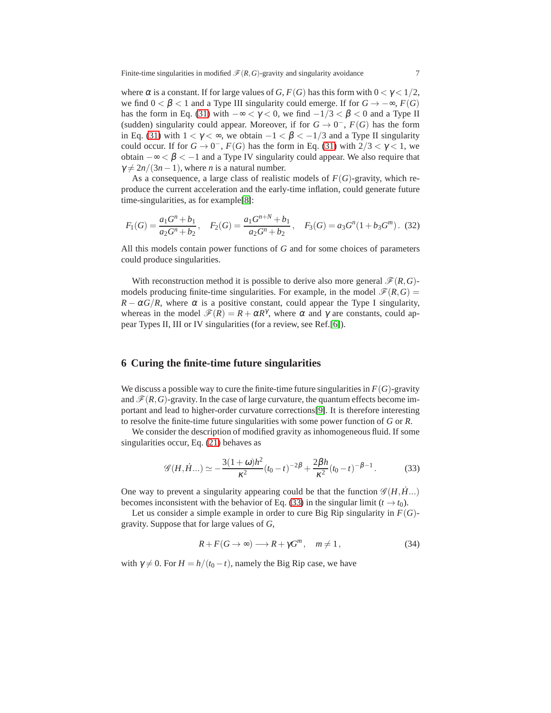Finite-time singularities in modified  $\mathcal{F}(R, G)$ -gravity and singularity avoidance 7

where  $\alpha$  is a constant. If for large values of *G*,  $F(G)$  has this form with  $0 < \gamma < 1/2$ , we find  $0 < \beta < 1$  and a Type III singularity could emerge. If for  $G \rightarrow -\infty$ ,  $F(G)$ has the form in Eq. [\(31\)](#page-5-0) with  $-\infty < \gamma < 0$ , we find  $-1/3 < \beta < 0$  and a Type II (sudden) singularity could appear. Moreover, if for  $G \to 0^-$ ,  $F(G)$  has the form in Eq. [\(31\)](#page-5-0) with  $1 < \gamma < \infty$ , we obtain  $-1 < \beta < -1/3$  and a Type II singularity could occur. If for  $G \to 0^-$ ,  $F(G)$  has the form in Eq. [\(31\)](#page-5-0) with  $2/3 < \gamma < 1$ , we obtain −∞ < β < −1 and a Type IV singularity could appear. We also require that  $\gamma \neq 2n/(3n-1)$ , where *n* is a natural number.

As a consequence, a large class of realistic models of  $F(G)$ -gravity, which reproduce the current acceleration and the early-time inflation, could generate future time-singularities, as for example[\[8\]](#page-9-5):

$$
F_1(G) = \frac{a_1 G^n + b_1}{a_2 G^n + b_2}, \quad F_2(G) = \frac{a_1 G^{n+N} + b_1}{a_2 G^n + b_2}, \quad F_3(G) = a_3 G^n (1 + b_3 G^m). \tag{32}
$$

All this models contain power functions of *G* and for some choices of parameters could produce singularities.

With reconstruction method it is possible to derive also more general  $\mathcal{F}(R, G)$ models producing finite-time singularities. For example, in the model  $\mathcal{F}(R, G)$  =  $R - \alpha G/R$ , where  $\alpha$  is a positive constant, could appear the Type I singularity, whereas in the model  $\mathcal{F}(R) = R + \alpha R^{\gamma}$ , where  $\alpha$  and  $\gamma$  are constants, could appear Types II, III or IV singularities (for a review, see Ref.[\[6\]](#page-9-3)).

# **6 Curing the finite-time future singularities**

We discuss a possible way to cure the finite-time future singularities in  $F(G)$ -gravity and  $\mathcal{F}(R,G)$ -gravity. In the case of large curvature, the quantum effects become important and lead to higher-order curvature corrections[\[9\]](#page-9-6). It is therefore interesting to resolve the finite-time future singularities with some power function of *G* or *R*.

We consider the description of modified gravity as inhomogeneous fluid. If some singularities occur, Eq. [\(21\)](#page-4-5) behaves as

<span id="page-6-0"></span>
$$
\mathscr{G}(H,\dot{H}...)\simeq-\frac{3(1+\omega)h^2}{\kappa^2}(t_0-t)^{-2\beta}+\frac{2\beta h}{\kappa^2}(t_0-t)^{-\beta-1}.
$$
 (33)

One way to prevent a singularity appearing could be that the function  $\mathscr{G}(H,\dot{H})$ ... becomes inconsistent with the behavior of Eq. [\(33\)](#page-6-0) in the singular limit ( $t \rightarrow t_0$ ).

Let us consider a simple example in order to cure Big Rip singularity in  $F(G)$ gravity. Suppose that for large values of *G*,

$$
R + F(G \to \infty) \longrightarrow R + \gamma G^m, \quad m \neq 1,
$$
\n(34)

with  $\gamma \neq 0$ . For  $H = h/(t_0 - t)$ , namely the Big Rip case, we have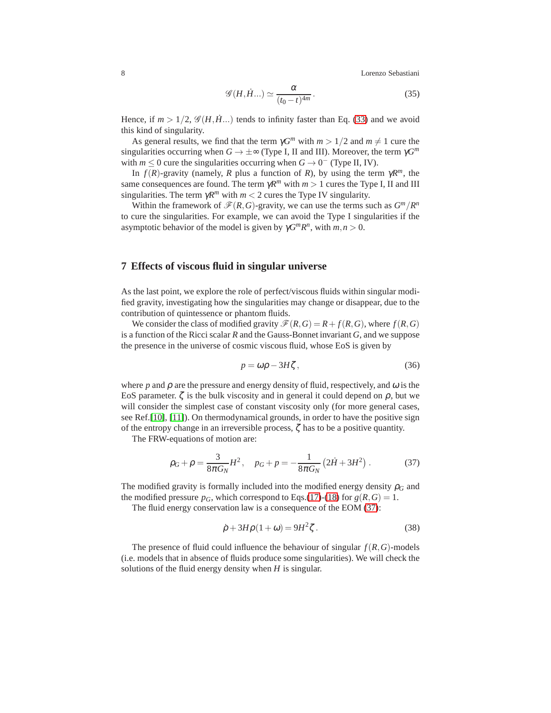8 Lorenzo Sebastiani

$$
\mathscr{G}(H,\dot{H}...)\simeq \frac{\alpha}{(t_0-t)^{4m}}.
$$
\n(35)

Hence, if  $m > 1/2$ ,  $\mathscr{G}(H, \dot{H})$  tends to infinity faster than Eq. [\(33\)](#page-6-0) and we avoid this kind of singularity.

As general results, we find that the term  $\gamma G^m$  with  $m > 1/2$  and  $m \neq 1$  cure the singularities occurring when  $G \to \pm \infty$  (Type I, II and III). Moreover, the term  $\gamma G^m$ with  $m \leq 0$  cure the singularities occurring when  $G \to 0^-$  (Type II, IV).

In  $f(R)$ -gravity (namely, *R* plus a function of *R*), by using the term  $\gamma R^m$ , the same consequences are found. The term  $\gamma R^m$  with  $m > 1$  cures the Type I, II and III singularities. The term  $\gamma R^m$  with  $m < 2$  cures the Type IV singularity.

Within the framework of  $\mathcal{F}(R, G)$ -gravity, we can use the terms such as  $G^m/R^n$ to cure the singularities. For example, we can avoid the Type I singularities if the asymptotic behavior of the model is given by  $\gamma G^m R^n$ , with  $m, n > 0$ .

### **7 Effects of viscous fluid in singular universe**

As the last point, we explore the role of perfect/viscous fluids within singular modified gravity, investigating how the singularities may change or disappear, due to the contribution of quintessence or phantom fluids.

We consider the class of modified gravity  $\mathcal{F}(R, G) = R + f(R, G)$ , where  $f(R, G)$ is a function of the Ricci scalar *R* and the Gauss-Bonnet invariant *G*, and we suppose the presence in the universe of cosmic viscous fluid, whose EoS is given by

$$
p = \omega \rho - 3H\zeta, \tag{36}
$$

where  $p$  and  $\rho$  are the pressure and energy density of fluid, respectively, and  $\omega$  is the EoS parameter.  $\zeta$  is the bulk viscosity and in general it could depend on  $\rho$ , but we will consider the simplest case of constant viscosity only (for more general cases, see Ref.[\[10\]](#page-9-7), [\[11\]](#page-9-8)). On thermodynamical grounds, in order to have the positive sign of the entropy change in an irreversible process,  $\zeta$  has to be a positive quantity.

The FRW-equations of motion are:

<span id="page-7-0"></span>
$$
\rho_G + \rho = \frac{3}{8\pi G_N} H^2, \quad p_G + p = -\frac{1}{8\pi G_N} \left( 2\dot{H} + 3H^2 \right). \tag{37}
$$

The modified gravity is formally included into the modified energy density  $\rho_G$  and the modified pressure  $p_G$ , which correspond to Eqs.[\(17\)](#page-3-3)-[\(18\)](#page-3-3) for  $g(R, G) = 1$ .

The fluid energy conservation law is a consequence of the EOM [\(37\)](#page-7-0):

<span id="page-7-1"></span>
$$
\dot{\rho} + 3H\rho(1+\omega) = 9H^2\zeta. \tag{38}
$$

The presence of fluid could influence the behaviour of singular  $f(R, G)$ -models (i.e. models that in absence of fluids produce some singularities). We will check the solutions of the fluid energy density when *H* is singular.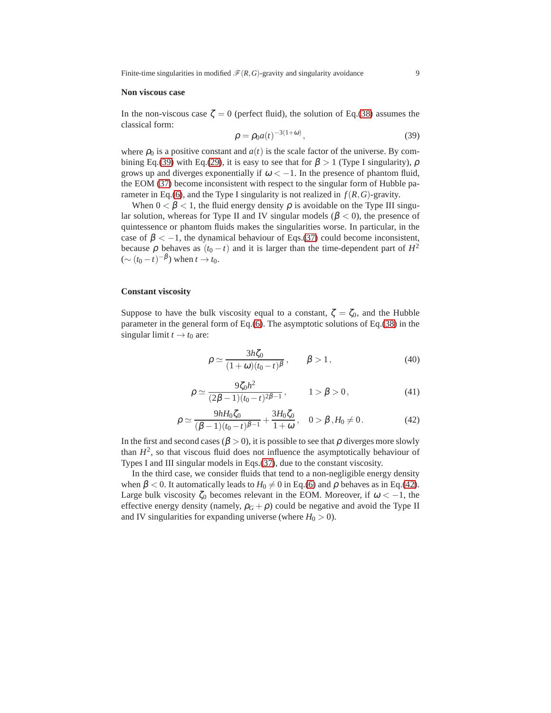Finite-time singularities in modified  $\mathcal{F}(R, G)$ -gravity and singularity avoidance 9

#### **Non viscous case**

In the non-viscous case  $\zeta = 0$  (perfect fluid), the solution of Eq.[\(38\)](#page-7-1) assumes the classical form:

<span id="page-8-0"></span>
$$
\rho = \rho_0 a(t)^{-3(1+\omega)},
$$
\n(39)

where  $\rho_0$  is a positive constant and  $a(t)$  is the scale factor of the universe. By com-bining Eq.[\(39\)](#page-8-0) with Eq.[\(29\)](#page-5-1), it is easy to see that for  $\beta > 1$  (Type I singularity),  $\rho$ grows up and diverges exponentially if  $\omega < -1$ . In the presence of phantom fluid, the EOM [\(37\)](#page-7-0) become inconsistent with respect to the singular form of Hubble pa-rameter in Eq.[\(6\)](#page-1-2), and the Type I singularity is not realized in  $f(R, G)$ -gravity.

When  $0 < \beta < 1$ , the fluid energy density  $\rho$  is avoidable on the Type III singular solution, whereas for Type II and IV singular models ( $\beta$  < 0), the presence of quintessence or phantom fluids makes the singularities worse. In particular, in the case of  $\beta < -1$ , the dynamical behaviour of Eqs.[\(37\)](#page-7-0) could become inconsistent, because  $\rho$  behaves as  $(t_0 - t)$  and it is larger than the time-dependent part of  $H^2$  $({\sim (t_0 - t)^{-\beta}})$  when  $t \to t_0$ .

#### **Constant viscosity**

Suppose to have the bulk viscosity equal to a constant,  $\zeta = \zeta_0$ , and the Hubble parameter in the general form of Eq.[\(6\)](#page-1-2). The asymptotic solutions of Eq.[\(38\)](#page-7-1) in the singular limit  $t \rightarrow t_0$  are:

$$
\rho \simeq \frac{3h\zeta_0}{(1+\omega)(t_0-t)^{\beta}}, \qquad \beta > 1, \qquad (40)
$$

$$
\rho \simeq \frac{9\zeta_0 h^2}{(2\beta - 1)(t_0 - t)^{2\beta - 1}}, \qquad 1 > \beta > 0,
$$
\n(41)

<span id="page-8-1"></span>
$$
\rho \simeq \frac{9hH_0\zeta_0}{(\beta-1)(t_0-t)^{\beta-1}} + \frac{3H_0\zeta_0}{1+\omega}, \quad 0 > \beta \,, H_0 \neq 0. \tag{42}
$$

In the first and second cases ( $\beta > 0$ ), it is possible to see that  $\rho$  diverges more slowly than  $H^2$ , so that viscous fluid does not influence the asymptotically behaviour of Types I and III singular models in Eqs.[\(37\)](#page-7-0), due to the constant viscosity.

In the third case, we consider fluids that tend to a non-negligible energy density when  $\beta$  < 0. It automatically leads to  $H_0 \neq 0$  in Eq.[\(6\)](#page-1-2) and  $\rho$  behaves as in Eq.[\(42\)](#page-8-1). Large bulk viscosity  $\zeta_0$  becomes relevant in the EOM. Moreover, if  $\omega < -1$ , the effective energy density (namely,  $\rho_G + \rho$ ) could be negative and avoid the Type II and IV singularities for expanding universe (where  $H_0 > 0$ ).